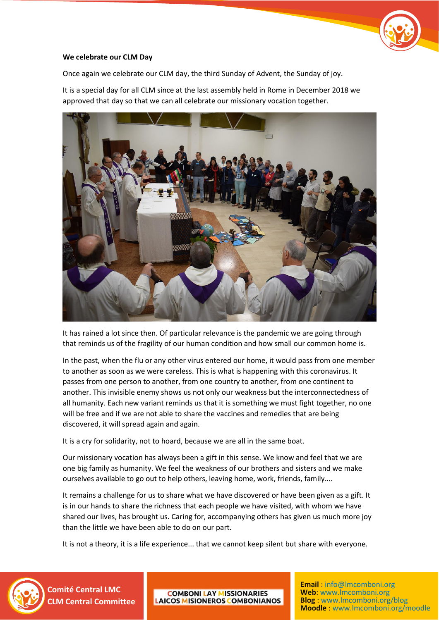

## **We celebrate our CLM Day**

Once again we celebrate our CLM day, the third Sunday of Advent, the Sunday of joy.

It is a special day for all CLM since at the last assembly held in Rome in December 2018 we approved that day so that we can all celebrate our missionary vocation together.



It has rained a lot since then. Of particular relevance is the pandemic we are going through that reminds us of the fragility of our human condition and how small our common home is.

In the past, when the flu or any other virus entered our home, it would pass from one member to another as soon as we were careless. This is what is happening with this coronavirus. It passes from one person to another, from one country to another, from one continent to another. This invisible enemy shows us not only our weakness but the interconnectedness of all humanity. Each new variant reminds us that it is something we must fight together, no one will be free and if we are not able to share the vaccines and remedies that are being discovered, it will spread again and again.

It is a cry for solidarity, not to hoard, because we are all in the same boat.

Our missionary vocation has always been a gift in this sense. We know and feel that we are one big family as humanity. We feel the weakness of our brothers and sisters and we make ourselves available to go out to help others, leaving home, work, friends, family....

It remains a challenge for us to share what we have discovered or have been given as a gift. It is in our hands to share the richness that each people we have visited, with whom we have shared our lives, has brought us. Caring for, accompanying others has given us much more joy than the little we have been able to do on our part.

It is not a theory, it is a life experience... that we cannot keep silent but share with everyone.



**Comité Central LMC CLM Central Committee**

**COMBONI LAY MISSIONARIES LAICOS MISIONEROS COMBONIANOS**  **Email** [: info@lmcomboni.org](mailto:info@lmcomboni.org) **Web**: [www.lmcomboni.org](http://www.lmcomboni.org/) **Blog** : [www.lmcomboni.org/blog](http://www.lmcomboni.org/blog) **Moodle** : [www.lmcomboni.org/moodle](http://www.lmcomboni.org/moodle)